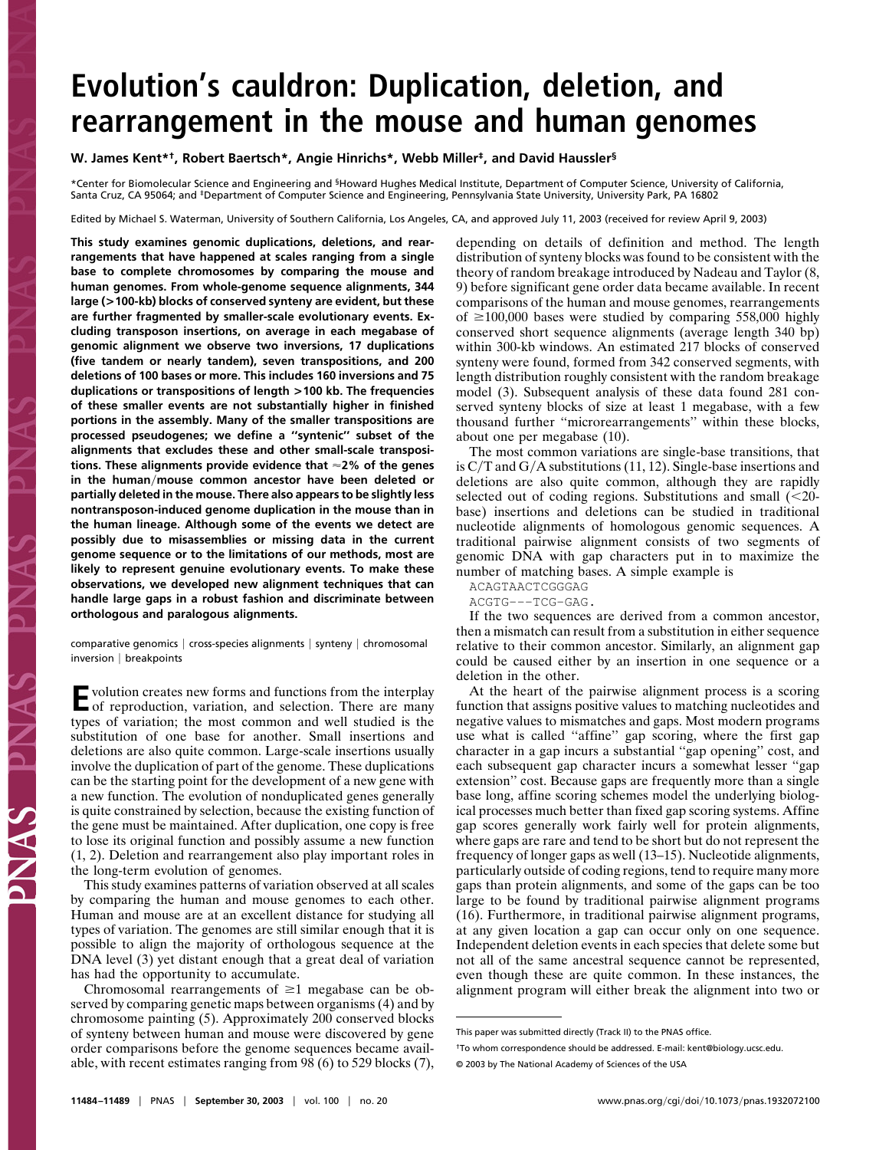## Evolution's cauldron: Duplication, deletion, and rearrangement in the mouse and human genomes

W. James Kent\*†, Robert Baertsch\*, Angie Hinrichs\*, Webb Miller‡, and David Haussler<sup>§</sup>

\*Center for Biomolecular Science and Engineering and §Howard Hughes Medical Institute, Department of Computer Science, University of California, Santa Cruz, CA 95064; and ‡Department of Computer Science and Engineering, Pennsylvania State University, University Park, PA 16802

Edited by Michael S. Waterman, University of Southern California, Los Angeles, CA, and approved July 11, 2003 (received for review April 9, 2003)

This study examines genomic duplications, deletions, and rearrangements that have happened at scales ranging from a single base to complete chromosomes by comparing the mouse and human genomes. From whole-genome sequence alignments, 344 large (>100-kb) blocks of conserved synteny are evident, but these are further fragmented by smaller-scale evolutionary events. Excluding transposon insertions, on average in each megabase of genomic alignment we observe two inversions, 17 duplications (five tandem or nearly tandem), seven transpositions, and 200 deletions of 100 bases or more. This includes 160 inversions and 75 duplications or transpositions of length >100 kb. The frequencies of these smaller events are not substantially higher in finished portions in the assembly. Many of the smaller transpositions are processed pseudogenes; we define a ''syntenic'' subset of the alignments that excludes these and other small-scale transpositions. These alignments provide evidence that  $\approx$  2% of the genes in the human/mouse common ancestor have been deleted or partially deleted in the mouse. There also appears to be slightly less nontransposon-induced genome duplication in the mouse than in the human lineage. Although some of the events we detect are possibly due to misassemblies or missing data in the current genome sequence or to the limitations of our methods, most are likely to represent genuine evolutionary events. To make these observations, we developed new alignment techniques that can handle large gaps in a robust fashion and discriminate between orthologous and paralogous alignments.

comparative genomics | cross-species alignments | synteny | chromosomal inversion  $\mid$  breakpoints

E volution creates new forms and functions from the interplay<br>of reproduction, variation, and selection. There are many of reproduction, variation, and selection. There are many types of variation; the most common and well studied is the substitution of one base for another. Small insertions and deletions are also quite common. Large-scale insertions usually involve the duplication of part of the genome. These duplications can be the starting point for the development of a new gene with a new function. The evolution of nonduplicated genes generally is quite constrained by selection, because the existing function of the gene must be maintained. After duplication, one copy is free to lose its original function and possibly assume a new function (1, 2). Deletion and rearrangement also play important roles in the long-term evolution of genomes.

This study examines patterns of variation observed at all scales by comparing the human and mouse genomes to each other. Human and mouse are at an excellent distance for studying all types of variation. The genomes are still similar enough that it is possible to align the majority of orthologous sequence at the DNA level (3) yet distant enough that a great deal of variation has had the opportunity to accumulate.

Chromosomal rearrangements of  $\geq 1$  megabase can be observed by comparing genetic maps between organisms (4) and by chromosome painting (5). Approximately 200 conserved blocks of synteny between human and mouse were discovered by gene order comparisons before the genome sequences became available, with recent estimates ranging from 98 (6) to 529 blocks (7), depending on details of definition and method. The length distribution of synteny blocks was found to be consistent with the theory of random breakage introduced by Nadeau and Taylor (8, 9) before significant gene order data became available. In recent comparisons of the human and mouse genomes, rearrangements of  $\geq 100,000$  bases were studied by comparing 558,000 highly conserved short sequence alignments (average length 340 bp) within 300-kb windows. An estimated 217 blocks of conserved synteny were found, formed from 342 conserved segments, with length distribution roughly consistent with the random breakage model (3). Subsequent analysis of these data found 281 conserved synteny blocks of size at least 1 megabase, with a few thousand further ''microrearrangements'' within these blocks, about one per megabase (10).

The most common variations are single-base transitions, that is  $C/T$  and  $G/A$  substitutions (11, 12). Single-base insertions and deletions are also quite common, although they are rapidly selected out of coding regions. Substitutions and small  $\left( \leq 20 \right)$ base) insertions and deletions can be studied in traditional nucleotide alignments of homologous genomic sequences. A traditional pairwise alignment consists of two segments of genomic DNA with gap characters put in to maximize the number of matching bases. A simple example is

ACAGTAACTCGGGAG

ACGTG---TCG-GAG.

If the two sequences are derived from a common ancestor, then a mismatch can result from a substitution in either sequence relative to their common ancestor. Similarly, an alignment gap could be caused either by an insertion in one sequence or a deletion in the other.

At the heart of the pairwise alignment process is a scoring function that assigns positive values to matching nucleotides and negative values to mismatches and gaps. Most modern programs use what is called ''affine'' gap scoring, where the first gap character in a gap incurs a substantial ''gap opening'' cost, and each subsequent gap character incurs a somewhat lesser ''gap extension'' cost. Because gaps are frequently more than a single base long, affine scoring schemes model the underlying biological processes much better than fixed gap scoring systems. Affine gap scores generally work fairly well for protein alignments, where gaps are rare and tend to be short but do not represent the frequency of longer gaps as well (13–15). Nucleotide alignments, particularly outside of coding regions, tend to require many more gaps than protein alignments, and some of the gaps can be too large to be found by traditional pairwise alignment programs (16). Furthermore, in traditional pairwise alignment programs, at any given location a gap can occur only on one sequence. Independent deletion events in each species that delete some but not all of the same ancestral sequence cannot be represented, even though these are quite common. In these instances, the alignment program will either break the alignment into two or

This paper was submitted directly (Track II) to the PNAS office.

<sup>†</sup>To whom correspondence should be addressed. E-mail: kent@biology.ucsc.edu.

<sup>© 2003</sup> by The National Academy of Sciences of the USA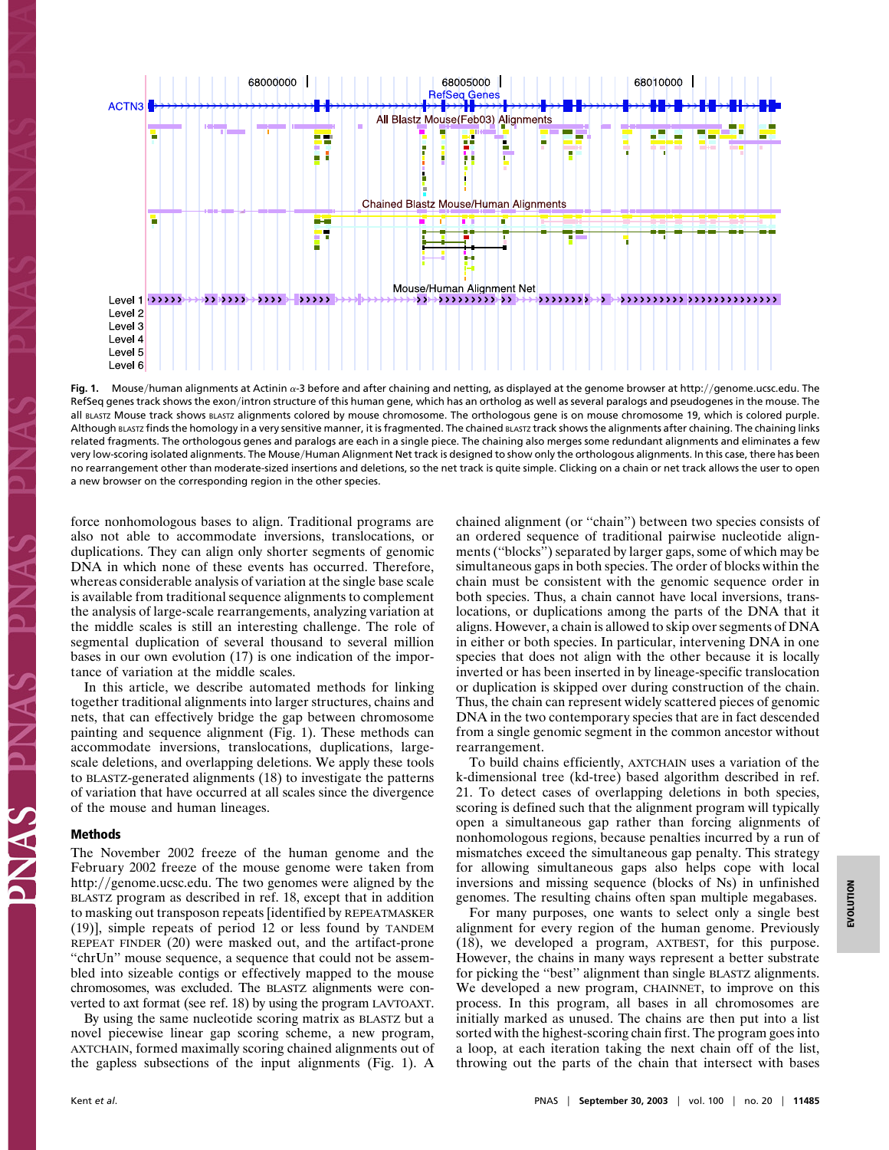

**Fig. 1.** Mouse/human alignments at Actinin  $\alpha$ -3 before and after chaining and netting, as displayed at the genome browser at http://genome.ucsc.edu. The RefSeq genes track shows the exon/intron structure of this human gene, which has an ortholog as well as several paralogs and pseudogenes in the mouse. The all BLASTZ Mouse track shows BLASTZ alignments colored by mouse chromosome. The orthologous gene is on mouse chromosome 19, which is colored purple. Although BLASTZ finds the homology in a very sensitive manner, it is fragmented. The chained BLASTZ track shows the alignments after chaining. The chaining links related fragments. The orthologous genes and paralogs are each in a single piece. The chaining also merges some redundant alignments and eliminates a few very low-scoring isolated alignments. The Mouse/Human Alignment Net track is designed to show only the orthologous alignments. In this case, there has been no rearrangement other than moderate-sized insertions and deletions, so the net track is quite simple. Clicking on a chain or net track allows the user to open a new browser on the corresponding region in the other species.

force nonhomologous bases to align. Traditional programs are also not able to accommodate inversions, translocations, or duplications. They can align only shorter segments of genomic DNA in which none of these events has occurred. Therefore, whereas considerable analysis of variation at the single base scale is available from traditional sequence alignments to complement the analysis of large-scale rearrangements, analyzing variation at the middle scales is still an interesting challenge. The role of segmental duplication of several thousand to several million bases in our own evolution (17) is one indication of the importance of variation at the middle scales.

In this article, we describe automated methods for linking together traditional alignments into larger structures, chains and nets, that can effectively bridge the gap between chromosome painting and sequence alignment (Fig. 1). These methods can accommodate inversions, translocations, duplications, largescale deletions, and overlapping deletions. We apply these tools to BLASTZ-generated alignments (18) to investigate the patterns of variation that have occurred at all scales since the divergence of the mouse and human lineages.

## Methods

The November 2002 freeze of the human genome and the February 2002 freeze of the mouse genome were taken from http://genome.ucsc.edu. The two genomes were aligned by the BLASTZ program as described in ref. 18, except that in addition to masking out transposon repeats [identified by REPEATMASKER (19)], simple repeats of period 12 or less found by TANDEM REPEAT FINDER (20) were masked out, and the artifact-prone "chrUn" mouse sequence, a sequence that could not be assembled into sizeable contigs or effectively mapped to the mouse chromosomes, was excluded. The BLASTZ alignments were converted to axt format (see ref. 18) by using the program LAVTOAXT.

By using the same nucleotide scoring matrix as BLASTZ but a novel piecewise linear gap scoring scheme, a new program, AXTCHAIN, formed maximally scoring chained alignments out of the gapless subsections of the input alignments (Fig. 1). A chained alignment (or ''chain'') between two species consists of an ordered sequence of traditional pairwise nucleotide alignments (''blocks'') separated by larger gaps, some of which may be simultaneous gaps in both species. The order of blocks within the chain must be consistent with the genomic sequence order in both species. Thus, a chain cannot have local inversions, translocations, or duplications among the parts of the DNA that it aligns. However, a chain is allowed to skip over segments of DNA in either or both species. In particular, intervening DNA in one species that does not align with the other because it is locally inverted or has been inserted in by lineage-specific translocation or duplication is skipped over during construction of the chain. Thus, the chain can represent widely scattered pieces of genomic DNA in the two contemporary species that are in fact descended from a single genomic segment in the common ancestor without rearrangement.

To build chains efficiently, AXTCHAIN uses a variation of the k-dimensional tree (kd-tree) based algorithm described in ref. 21. To detect cases of overlapping deletions in both species, scoring is defined such that the alignment program will typically open a simultaneous gap rather than forcing alignments of nonhomologous regions, because penalties incurred by a run of mismatches exceed the simultaneous gap penalty. This strategy for allowing simultaneous gaps also helps cope with local inversions and missing sequence (blocks of Ns) in unfinished genomes. The resulting chains often span multiple megabases.

For many purposes, one wants to select only a single best alignment for every region of the human genome. Previously (18), we developed a program, AXTBEST, for this purpose. However, the chains in many ways represent a better substrate for picking the ''best'' alignment than single BLASTZ alignments. We developed a new program, CHAINNET, to improve on this process. In this program, all bases in all chromosomes are initially marked as unused. The chains are then put into a list sorted with the highest-scoring chain first. The program goes into a loop, at each iteration taking the next chain off of the list, throwing out the parts of the chain that intersect with bases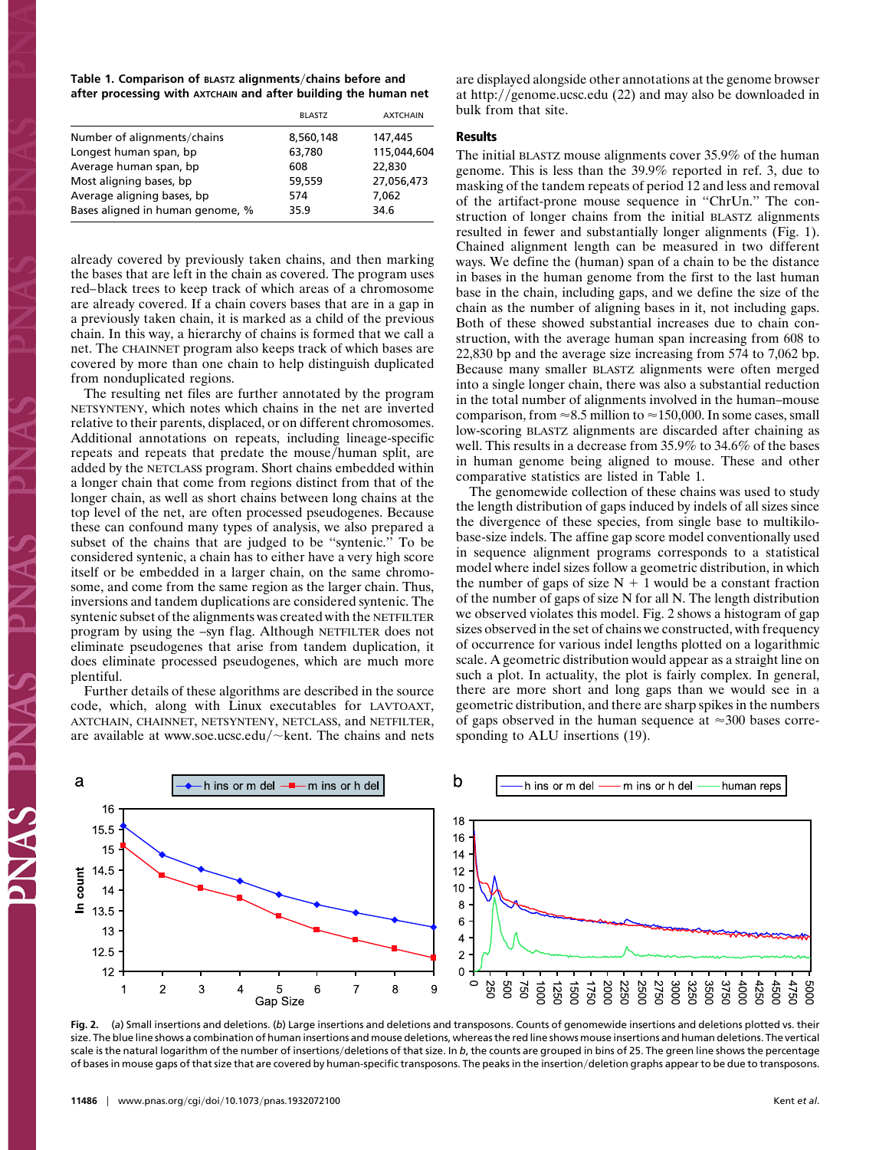| Table 1. Comparison of BLASTZ alignments/chains before and      |  |  |  |  |
|-----------------------------------------------------------------|--|--|--|--|
| after processing with AXTCHAIN and after building the human net |  |  |  |  |

|                                  | <b>BLASTZ</b> | <b>AXTCHAIN</b> |
|----------------------------------|---------------|-----------------|
| Number of alignments/chains      | 8,560,148     | 147,445         |
| Longest human span, bp           | 63,780        | 115,044,604     |
| Average human span, bp           | 608           | 22,830          |
| Most aligning bases, bp          | 59,559        | 27,056,473      |
| Average aligning bases, bp       | 574           | 7.062           |
| Bases aligned in human genome, % | 35.9          | 34.6            |

already covered by previously taken chains, and then marking the bases that are left in the chain as covered. The program uses red–black trees to keep track of which areas of a chromosome are already covered. If a chain covers bases that are in a gap in a previously taken chain, it is marked as a child of the previous chain. In this way, a hierarchy of chains is formed that we call a net. The CHAINNET program also keeps track of which bases are covered by more than one chain to help distinguish duplicated from nonduplicated regions.

The resulting net files are further annotated by the program NETSYNTENY, which notes which chains in the net are inverted relative to their parents, displaced, or on different chromosomes. Additional annotations on repeats, including lineage-specific repeats and repeats that predate the mouse/human split, are added by the NETCLASS program. Short chains embedded within a longer chain that come from regions distinct from that of the longer chain, as well as short chains between long chains at the top level of the net, are often processed pseudogenes. Because these can confound many types of analysis, we also prepared a subset of the chains that are judged to be ''syntenic.'' To be considered syntenic, a chain has to either have a very high score itself or be embedded in a larger chain, on the same chromosome, and come from the same region as the larger chain. Thus, inversions and tandem duplications are considered syntenic. The syntenic subset of the alignments was created with the NETFILTER program by using the –syn flag. Although NETFILTER does not eliminate pseudogenes that arise from tandem duplication, it does eliminate processed pseudogenes, which are much more plentiful.

Further details of these algorithms are described in the source code, which, along with Linux executables for LAVTOAXT, AXTCHAIN, CHAINNET, NETSYNTENY, NETCLASS, and NETFILTER, are available at www.soe.ucsc.edu/ $\sim$ kent. The chains and nets

are displayed alongside other annotations at the genome browser at http://genome.ucsc.edu  $(22)$  and may also be downloaded in bulk from that site.

## **Results**

The initial BLASTZ mouse alignments cover 35.9% of the human genome. This is less than the 39.9% reported in ref. 3, due to masking of the tandem repeats of period 12 and less and removal of the artifact-prone mouse sequence in ''ChrUn.'' The construction of longer chains from the initial BLASTZ alignments resulted in fewer and substantially longer alignments (Fig. 1). Chained alignment length can be measured in two different ways. We define the (human) span of a chain to be the distance in bases in the human genome from the first to the last human base in the chain, including gaps, and we define the size of the chain as the number of aligning bases in it, not including gaps. Both of these showed substantial increases due to chain construction, with the average human span increasing from 608 to 22,830 bp and the average size increasing from 574 to 7,062 bp. Because many smaller BLASTZ alignments were often merged into a single longer chain, there was also a substantial reduction in the total number of alignments involved in the human–mouse comparison, from  $\approx 8.5$  million to  $\approx 150,000$ . In some cases, small low-scoring BLASTZ alignments are discarded after chaining as well. This results in a decrease from 35.9% to 34.6% of the bases in human genome being aligned to mouse. These and other comparative statistics are listed in Table 1.

The genomewide collection of these chains was used to study the length distribution of gaps induced by indels of all sizes since the divergence of these species, from single base to multikilobase-size indels. The affine gap score model conventionally used in sequence alignment programs corresponds to a statistical model where indel sizes follow a geometric distribution, in which the number of gaps of size  $N + 1$  would be a constant fraction of the number of gaps of size N for all N. The length distribution we observed violates this model. Fig. 2 shows a histogram of gap sizes observed in the set of chains we constructed, with frequency of occurrence for various indel lengths plotted on a logarithmic scale. A geometric distribution would appear as a straight line on such a plot. In actuality, the plot is fairly complex. In general, there are more short and long gaps than we would see in a geometric distribution, and there are sharp spikes in the numbers of gaps observed in the human sequence at  $\approx 300$  bases corresponding to ALU insertions (19).



Fig. 2. (a) Small insertions and deletions. (b) Large insertions and deletions and transposons. Counts of genomewide insertions and deletions plotted vs. their size. The blue line shows a combination of human insertions and mouse deletions, whereas the red line shows mouse insertions and human deletions. The vertical scale is the natural logarithm of the number of insertions/deletions of that size. In b, the counts are grouped in bins of 25. The green line shows the percentage of bases in mouse gaps of that size that are covered by human-specific transposons. The peaks in the insertion/deletion graphs appear to be due to transposons.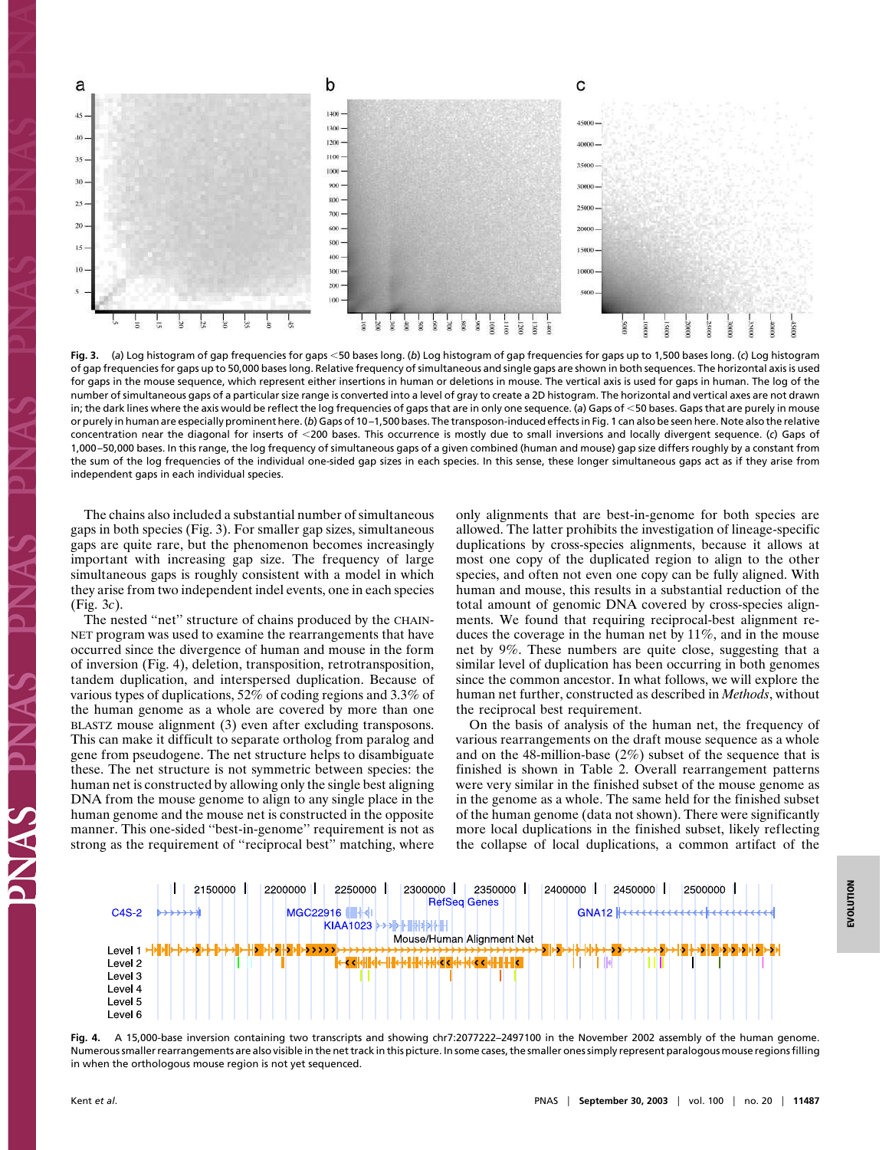

Fig. 3. (a) Log histogram of gap frequencies for gaps <50 bases long. (b) Log histogram of gap frequencies for gaps up to 1,500 bases long. (c) Log histogram of gap frequencies for gaps up to 50,000 bases long. Relative frequency of simultaneous and single gaps are shown in both sequences. The horizontal axis is used for gaps in the mouse sequence, which represent either insertions in human or deletions in mouse. The vertical axis is used for gaps in human. The log of the number of simultaneous gaps of a particular size range is converted into a level of gray to create a 2D histogram. The horizontal and vertical axes are not drawn in; the dark lines where the axis would be reflect the log frequencies of gaps that are in only one sequence. (a) Gaps of -50 bases. Gaps that are purely in mouse or purely in human are especially prominent here. (b) Gaps of 10-1,500 bases. The transposon-induced effects in Fig. 1 can also be seen here. Note also the relative concentration near the diagonal for inserts of <200 bases. This occurrence is mostly due to small inversions and locally divergent sequence. (c) Gaps of 1,000–50,000 bases. In this range, the log frequency of simultaneous gaps of a given combined (human and mouse) gap size differs roughly by a constant from the sum of the log frequencies of the individual one-sided gap sizes in each species. In this sense, these longer simultaneous gaps act as if they arise from independent gaps in each individual species.

The chains also included a substantial number of simultaneous gaps in both species (Fig. 3). For smaller gap sizes, simultaneous gaps are quite rare, but the phenomenon becomes increasingly important with increasing gap size. The frequency of large simultaneous gaps is roughly consistent with a model in which they arise from two independent indel events, one in each species (Fig. 3c).

The nested ''net'' structure of chains produced by the CHAIN-NET program was used to examine the rearrangements that have occurred since the divergence of human and mouse in the form of inversion (Fig. 4), deletion, transposition, retrotransposition, tandem duplication, and interspersed duplication. Because of various types of duplications, 52% of coding regions and 3.3% of the human genome as a whole are covered by more than one BLASTZ mouse alignment (3) even after excluding transposons. This can make it difficult to separate ortholog from paralog and gene from pseudogene. The net structure helps to disambiguate these. The net structure is not symmetric between species: the human net is constructed by allowing only the single best aligning DNA from the mouse genome to align to any single place in the human genome and the mouse net is constructed in the opposite manner. This one-sided ''best-in-genome'' requirement is not as strong as the requirement of ''reciprocal best'' matching, where only alignments that are best-in-genome for both species are allowed. The latter prohibits the investigation of lineage-specific duplications by cross-species alignments, because it allows at most one copy of the duplicated region to align to the other species, and often not even one copy can be fully aligned. With human and mouse, this results in a substantial reduction of the total amount of genomic DNA covered by cross-species alignments. We found that requiring reciprocal-best alignment reduces the coverage in the human net by 11%, and in the mouse net by 9%. These numbers are quite close, suggesting that a similar level of duplication has been occurring in both genomes since the common ancestor. In what follows, we will explore the human net further, constructed as described in Methods, without the reciprocal best requirement.

On the basis of analysis of the human net, the frequency of various rearrangements on the draft mouse sequence as a whole and on the 48-million-base (2%) subset of the sequence that is finished is shown in Table 2. Overall rearrangement patterns were very similar in the finished subset of the mouse genome as in the genome as a whole. The same held for the finished subset of the human genome (data not shown). There were significantly more local duplications in the finished subset, likely reflecting the collapse of local duplications, a common artifact of the



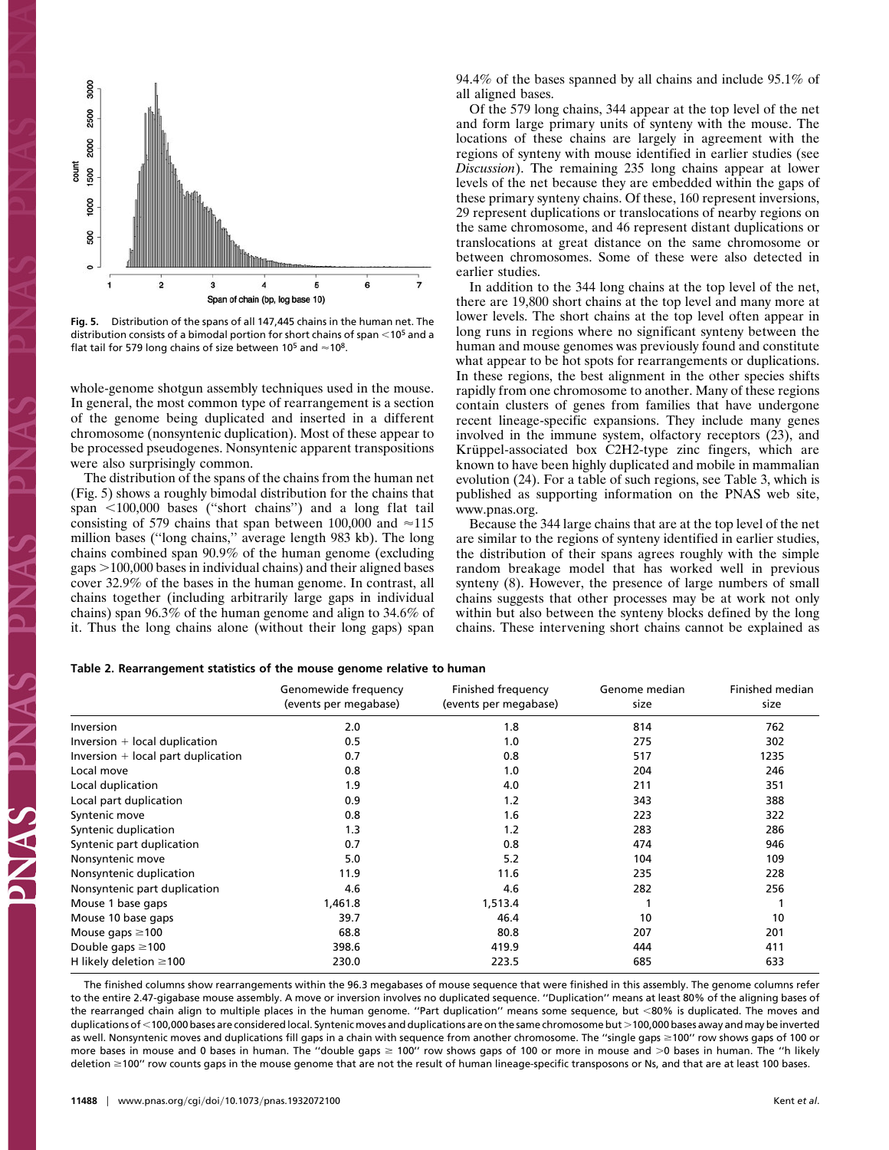

Fig. 5. Distribution of the spans of all 147,445 chains in the human net. The distribution consists of a bimodal portion for short chains of span  $<$  10<sup>5</sup> and a flat tail for 579 long chains of size between 10<sup>5</sup> and  $\approx$  10<sup>8</sup>.

whole-genome shotgun assembly techniques used in the mouse. In general, the most common type of rearrangement is a section of the genome being duplicated and inserted in a different chromosome (nonsyntenic duplication). Most of these appear to be processed pseudogenes. Nonsyntenic apparent transpositions were also surprisingly common.

The distribution of the spans of the chains from the human net (Fig. 5) shows a roughly bimodal distribution for the chains that span <100,000 bases ("short chains") and a long flat tail consisting of 579 chains that span between 100,000 and  $\approx$ 115 million bases (''long chains,'' average length 983 kb). The long chains combined span 90.9% of the human genome (excluding  $gaps > 100,000$  bases in individual chains) and their aligned bases cover 32.9% of the bases in the human genome. In contrast, all chains together (including arbitrarily large gaps in individual chains) span 96.3% of the human genome and align to 34.6% of it. Thus the long chains alone (without their long gaps) span 94.4% of the bases spanned by all chains and include 95.1% of all aligned bases.

Of the 579 long chains, 344 appear at the top level of the net and form large primary units of synteny with the mouse. The locations of these chains are largely in agreement with the regions of synteny with mouse identified in earlier studies (see Discussion). The remaining 235 long chains appear at lower levels of the net because they are embedded within the gaps of these primary synteny chains. Of these, 160 represent inversions, 29 represent duplications or translocations of nearby regions on the same chromosome, and 46 represent distant duplications or translocations at great distance on the same chromosome or between chromosomes. Some of these were also detected in earlier studies.

In addition to the 344 long chains at the top level of the net, there are 19,800 short chains at the top level and many more at lower levels. The short chains at the top level often appear in long runs in regions where no significant synteny between the human and mouse genomes was previously found and constitute what appear to be hot spots for rearrangements or duplications. In these regions, the best alignment in the other species shifts rapidly from one chromosome to another. Many of these regions contain clusters of genes from families that have undergone recent lineage-specific expansions. They include many genes involved in the immune system, olfactory receptors (23), and Krüppel-associated box C2H2-type zinc fingers, which are known to have been highly duplicated and mobile in mammalian evolution (24). For a table of such regions, see Table 3, which is published as supporting information on the PNAS web site, www.pnas.org.

Because the 344 large chains that are at the top level of the net are similar to the regions of synteny identified in earlier studies, the distribution of their spans agrees roughly with the simple random breakage model that has worked well in previous synteny (8). However, the presence of large numbers of small chains suggests that other processes may be at work not only within but also between the synteny blocks defined by the long chains. These intervening short chains cannot be explained as

| Table 2. Rearrangement statistics of the mouse genome relative to human |  |  |  |
|-------------------------------------------------------------------------|--|--|--|
|-------------------------------------------------------------------------|--|--|--|

|                                      | Genomewide frequency<br>(events per megabase) | Finished frequency<br>(events per megabase) | Genome median<br>size | Finished median<br>size |
|--------------------------------------|-----------------------------------------------|---------------------------------------------|-----------------------|-------------------------|
| Inversion                            | 2.0                                           | 1.8                                         | 814                   | 762                     |
| Inversion $+$ local duplication      | 0.5                                           | 1.0                                         | 275                   | 302                     |
| Inversion $+$ local part duplication | 0.7                                           | 0.8                                         | 517                   | 1235                    |
| Local move                           | 0.8                                           | 1.0                                         | 204                   | 246                     |
| Local duplication                    | 1.9                                           | 4.0                                         | 211                   | 351                     |
| Local part duplication               | 0.9                                           | 1.2                                         | 343                   | 388                     |
| Syntenic move                        | 0.8                                           | 1.6                                         | 223                   | 322                     |
| Syntenic duplication                 | 1.3                                           | 1.2                                         | 283                   | 286                     |
| Syntenic part duplication            | 0.7                                           | 0.8                                         | 474                   | 946                     |
| Nonsyntenic move                     | 5.0                                           | 5.2                                         | 104                   | 109                     |
| Nonsyntenic duplication              | 11.9                                          | 11.6                                        | 235                   | 228                     |
| Nonsyntenic part duplication         | 4.6                                           | 4.6                                         | 282                   | 256                     |
| Mouse 1 base gaps                    | 1,461.8                                       | 1,513.4                                     |                       |                         |
| Mouse 10 base gaps                   | 39.7                                          | 46.4                                        | 10                    | 10                      |
| Mouse gaps $\geq 100$                | 68.8                                          | 80.8                                        | 207                   | 201                     |
| Double gaps $\geq$ 100               | 398.6                                         | 419.9                                       | 444                   | 411                     |
| H likely deletion $\geq$ 100         | 230.0                                         | 223.5                                       | 685                   | 633                     |

The finished columns show rearrangements within the 96.3 megabases of mouse sequence that were finished in this assembly. The genome columns refer to the entire 2.47-gigabase mouse assembly. A move or inversion involves no duplicated sequence. ''Duplication'' means at least 80% of the aligning bases of the rearranged chain align to multiple places in the human genome. ''Part duplication'' means some sequence, but -80% is duplicated. The moves and duplications of -100,000 bases are considered local. Syntenic moves and duplications are on the same chromosome but 100,000 bases away and may be inverted as well. Nonsyntenic moves and duplications fill gaps in a chain with sequence from another chromosome. The "single gaps ≥100" row shows gaps of 100 or more bases in mouse and 0 bases in human. The "double gaps  $\geq 100$ " row shows gaps of 100 or more in mouse and  $>0$  bases in human. The "h likely deletion ≥100" row counts gaps in the mouse genome that are not the result of human lineage-specific transposons or Ns, and that are at least 100 bases.

NAS PI